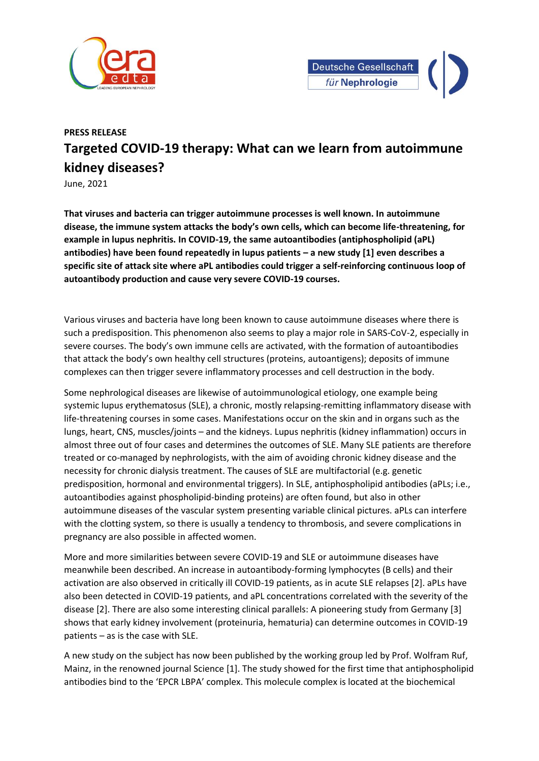



## **PRESS RELEASE Targeted COVID-19 therapy: What can we learn from autoimmune kidney diseases?**

June, 2021

**That viruses and bacteria can trigger autoimmune processes is well known. In autoimmune disease, the immune system attacks the body's own cells, which can become life-threatening, for example in lupus nephritis. In COVID-19, the same autoantibodies (antiphospholipid (aPL) antibodies) have been found repeatedly in lupus patients – a new study [1] even describes a specific site of attack site where aPL antibodies could trigger a self-reinforcing continuous loop of autoantibody production and cause very severe COVID-19 courses.** 

Various viruses and bacteria have long been known to cause autoimmune diseases where there is such a predisposition. This phenomenon also seems to play a major role in SARS-CoV-2, especially in severe courses. The body's own immune cells are activated, with the formation of autoantibodies that attack the body's own healthy cell structures (proteins, autoantigens); deposits of immune complexes can then trigger severe inflammatory processes and cell destruction in the body.

Some nephrological diseases are likewise of autoimmunological etiology, one example being systemic lupus erythematosus (SLE), a chronic, mostly relapsing-remitting inflammatory disease with life-threatening courses in some cases. Manifestations occur on the skin and in organs such as the lungs, heart, CNS, muscles/joints – and the kidneys. Lupus nephritis (kidney inflammation) occurs in almost three out of four cases and determines the outcomes of SLE. Many SLE patients are therefore treated or co-managed by nephrologists, with the aim of avoiding chronic kidney disease and the necessity for chronic dialysis treatment. The causes of SLE are multifactorial (e.g. genetic predisposition, hormonal and environmental triggers). In SLE, antiphospholipid antibodies (aPLs; i.e., autoantibodies against phospholipid-binding proteins) are often found, but also in other autoimmune diseases of the vascular system presenting variable clinical pictures. aPLs can interfere with the clotting system, so there is usually a tendency to thrombosis, and severe complications in pregnancy are also possible in affected women.

More and more similarities between severe COVID-19 and SLE or autoimmune diseases have meanwhile been described. An increase in autoantibody-forming lymphocytes (B cells) and their activation are also observed in critically ill COVID-19 patients, as in acute SLE relapses [2]. aPLs have also been detected in COVID-19 patients, and aPL concentrations correlated with the severity of the disease [2]. There are also some interesting clinical parallels: A pioneering study from Germany [3] shows that early kidney involvement (proteinuria, hematuria) can determine outcomes in COVID-19 patients – as is the case with SLE.

A new study on the subject has now been published by the working group led by Prof. Wolfram Ruf, Mainz, in the renowned journal Science [1]. The study showed for the first time that antiphospholipid antibodies bind to the 'EPCR LBPA' complex. This molecule complex is located at the biochemical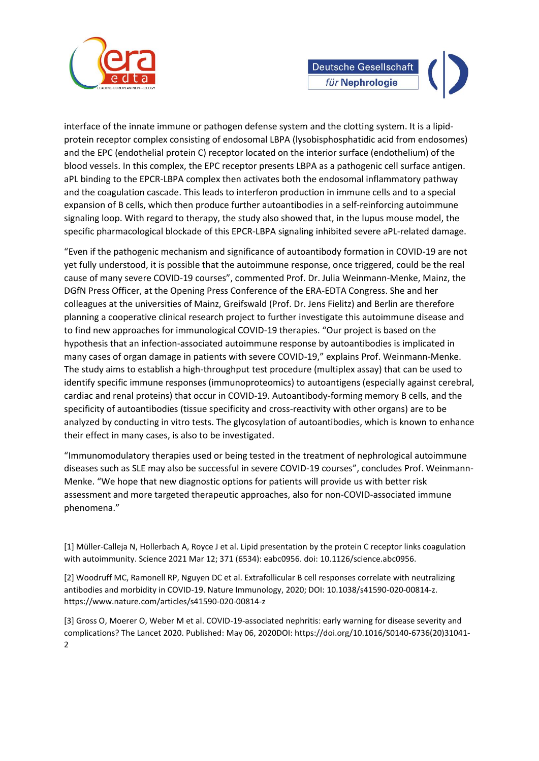

interface of the innate immune or pathogen defense system and the clotting system. It is a lipidprotein receptor complex consisting of endosomal LBPA (lysobisphosphatidic acid from endosomes) and the EPC (endothelial protein C) receptor located on the interior surface (endothelium) of the blood vessels. In this complex, the EPC receptor presents LBPA as a pathogenic cell surface antigen. aPL binding to the EPCR-LBPA complex then activates both the endosomal inflammatory pathway and the coagulation cascade. This leads to interferon production in immune cells and to a special expansion of B cells, which then produce further autoantibodies in a self-reinforcing autoimmune signaling loop. With regard to therapy, the study also showed that, in the lupus mouse model, the specific pharmacological blockade of this EPCR-LBPA signaling inhibited severe aPL-related damage.

"Even if the pathogenic mechanism and significance of autoantibody formation in COVID-19 are not yet fully understood, it is possible that the autoimmune response, once triggered, could be the real cause of many severe COVID-19 courses", commented Prof. Dr. Julia Weinmann-Menke, Mainz, the DGfN Press Officer, at the Opening Press Conference of the ERA-EDTA Congress. She and her colleagues at the universities of Mainz, Greifswald (Prof. Dr. Jens Fielitz) and Berlin are therefore planning a cooperative clinical research project to further investigate this autoimmune disease and to find new approaches for immunological COVID-19 therapies. "Our project is based on the hypothesis that an infection-associated autoimmune response by autoantibodies is implicated in many cases of organ damage in patients with severe COVID-19," explains Prof. Weinmann-Menke. The study aims to establish a high-throughput test procedure (multiplex assay) that can be used to identify specific immune responses (immunoproteomics) to autoantigens (especially against cerebral, cardiac and renal proteins) that occur in COVID-19. Autoantibody-forming memory B cells, and the specificity of autoantibodies (tissue specificity and cross-reactivity with other organs) are to be analyzed by conducting in vitro tests. The glycosylation of autoantibodies, which is known to enhance their effect in many cases, is also to be investigated.

"Immunomodulatory therapies used or being tested in the treatment of nephrological autoimmune diseases such as SLE may also be successful in severe COVID-19 courses", concludes Prof. Weinmann-Menke. "We hope that new diagnostic options for patients will provide us with better risk assessment and more targeted therapeutic approaches, also for non-COVID-associated immune phenomena."

[1] Müller-Calleja N, Hollerbach A, Royce J et al. Lipid presentation by the protein C receptor links coagulation with autoimmunity. Science 2021 Mar 12; 371 (6534): eabc0956. doi: 10.1126/science.abc0956.

[2] Woodruff MC, Ramonell RP, Nguyen DC et al. Extrafollicular B cell responses correlate with neutralizing antibodies and morbidity in COVID-19. Nature Immunology, 2020; DOI: 10.1038/s41590-020-00814-z. https://www.nature.com/articles/s41590-020-00814-z

[3] Gross O, Moerer O, Weber M et al. COVID-19-associated nephritis: early warning for disease severity and complications? The Lancet 2020. Published: May 06, 2020DOI: https://doi.org/10.1016/S0140-6736(20)31041- 2